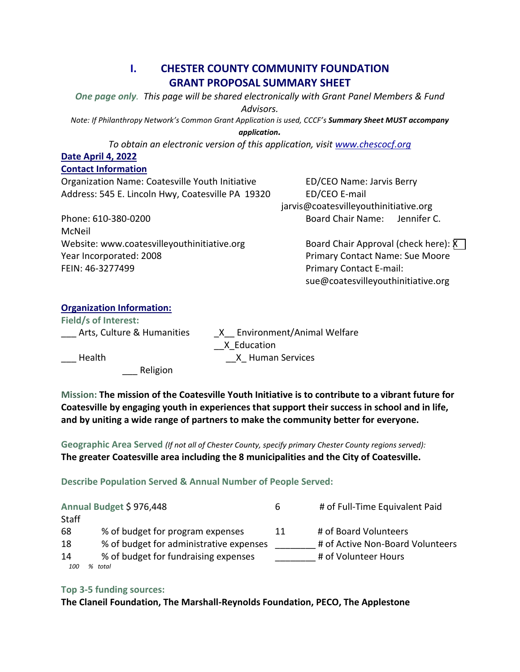# **I. CHESTER COUNTY COMMUNITY FOUNDATION GRANT PROPOSAL SUMMARY SHEET**

*One page only. This page will be shared electronically with Grant Panel Members & Fund Advisors.*

*Note: If Philanthropy Network's Common Grant Application is used, CCCF's Summary Sheet MUST accompany* 

*application.*

*To obtain an electronic version of this application, visit [www.chescocf.org](http://www.chescocf.org/)*

## **Date April 4, 2022**

### **Contact Information**

Organization Name: Coatesville Youth Initiative ED/CEO Name: Jarvis Berry Address: 545 E. Lincoln Hwy, Coatesville PA 19320 ED/CEO E-mail

jarvis@coatesvilleyouthinitiative.org Phone: 610-380-0200 Board Chair Name: Jennifer C.

McNeil Website: www.coatesvilleyouthinitiative.org Board Chair Approval (check here):  $\overline{X}$ Year Incorporated: 2008 Primary Contact Name: Sue Moore FEIN: 46-3277499 **Primary Contact E-mail:** 

sue@coatesvilleyouthinitiative.org

# **Organization Information:**

**Field/s of Interest:** 

Arts, Culture & Humanities  $X$  Environment/Animal Welfare \_\_X\_Education Health **Exercise Services CONS X** Human Services

\_\_\_ Religion

**Mission: The mission of the Coatesville Youth Initiative is to contribute to a vibrant future for Coatesville by engaging youth in experiences that support their success in school and in life, and by uniting a wide range of partners to make the community better for everyone.**

**Geographic Area Served** *(If not all of Chester County, specify primary Chester County regions served):* **The greater Coatesville area including the 8 municipalities and the City of Coatesville.**

**Describe Population Served & Annual Number of People Served:**

| Annual Budget \$976,448 |                                         | b  | # of Full-Time Equivalent Paid   |
|-------------------------|-----------------------------------------|----|----------------------------------|
| <b>Staff</b>            |                                         |    |                                  |
| 68                      | % of budget for program expenses        | 11 | # of Board Volunteers            |
| 18                      | % of budget for administrative expenses |    | # of Active Non-Board Volunteers |
| 14                      | % of budget for fundraising expenses    |    | # of Volunteer Hours             |
| 100                     | % total                                 |    |                                  |

### **Top 3-5 funding sources:**

**The Claneil Foundation, The Marshall-Reynolds Foundation, PECO, The Applestone**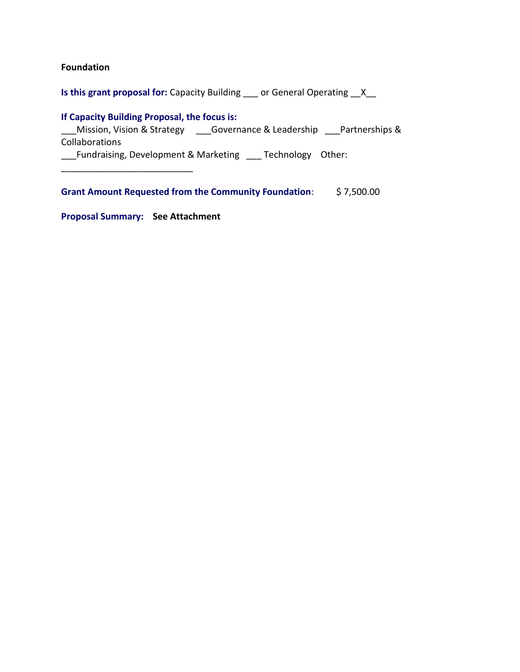### **Foundation**

**Is this grant proposal for:** Capacity Building \_\_\_ or General Operating \_\_X\_\_

### **If Capacity Building Proposal, the focus is:**

\_\_\_Mission, Vision & Strategy \_\_\_Governance & Leadership \_\_\_Partnerships & Collaborations

\_\_\_Fundraising, Development & Marketing \_\_\_ Technology Other:

**Grant Amount Requested from the Community Foundation**: \$ 7,500.00

**Proposal Summary: See Attachment**

\_\_\_\_\_\_\_\_\_\_\_\_\_\_\_\_\_\_\_\_\_\_\_\_\_\_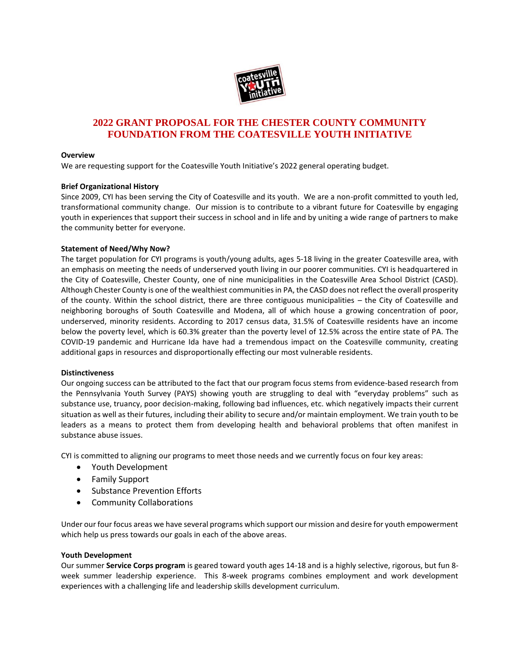

### **2022 GRANT PROPOSAL FOR THE CHESTER COUNTY COMMUNITY FOUNDATION FROM THE COATESVILLE YOUTH INITIATIVE**

#### **Overview**

We are requesting support for the Coatesville Youth Initiative's 2022 general operating budget.

#### **Brief Organizational History**

Since 2009, CYI has been serving the City of Coatesville and its youth. We are a non-profit committed to youth led, transformational community change. Our mission is to contribute to a vibrant future for Coatesville by engaging youth in experiences that support their success in school and in life and by uniting a wide range of partners to make the community better for everyone.

#### **Statement of Need/Why Now?**

The target population for CYI programs is youth/young adults, ages 5-18 living in the greater Coatesville area, with an emphasis on meeting the needs of underserved youth living in our poorer communities. CYI is headquartered in the City of Coatesville, Chester County, one of nine municipalities in the Coatesville Area School District (CASD). Although Chester County is one of the wealthiest communities in PA, the CASD does not reflect the overall prosperity of the county. Within the school district, there are three contiguous municipalities – the City of Coatesville and neighboring boroughs of South Coatesville and Modena, all of which house a growing concentration of poor, underserved, minority residents. According to 2017 census data, 31.5% of Coatesville residents have an income below the poverty level, which is 60.3% greater than the poverty level of 12.5% across the entire state of PA. The COVID-19 pandemic and Hurricane Ida have had a tremendous impact on the Coatesville community, creating additional gaps in resources and disproportionally effecting our most vulnerable residents.

#### **Distinctiveness**

Our ongoing success can be attributed to the fact that our program focus stems from evidence-based research from the Pennsylvania Youth Survey (PAYS) showing youth are struggling to deal with "everyday problems" such as substance use, truancy, poor decision-making, following bad influences, etc. which negatively impacts their current situation as well as their futures, including their ability to secure and/or maintain employment. We train youth to be leaders as a means to protect them from developing health and behavioral problems that often manifest in substance abuse issues.

CYI is committed to aligning our programs to meet those needs and we currently focus on four key areas:

- Youth Development
- Family Support
- **•** Substance Prevention Efforts
- Community Collaborations

Under our four focus areas we have several programs which support our mission and desire for youth empowerment which help us press towards our goals in each of the above areas.

#### **Youth Development**

Our summer **Service Corps program** is geared toward youth ages 14-18 and is a highly selective, rigorous, but fun 8 week summer leadership experience. This 8-week programs combines employment and work development experiences with a challenging life and leadership skills development curriculum.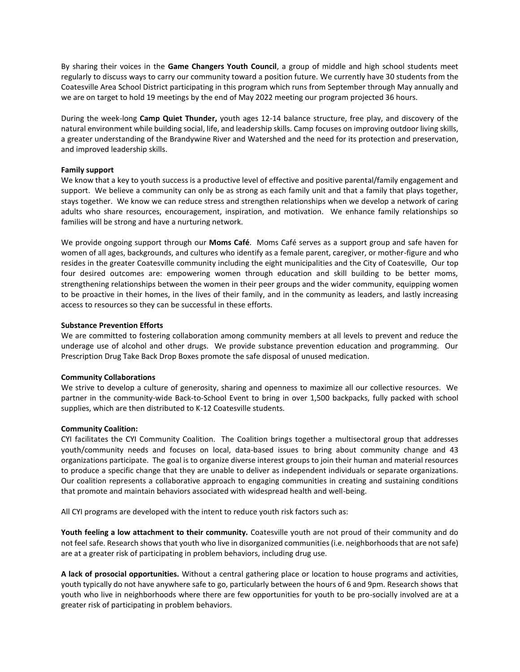By sharing their voices in the **Game Changers Youth Council**, a group of middle and high school students meet regularly to discuss ways to carry our community toward a position future. We currently have 30 students from the Coatesville Area School District participating in this program which runs from September through May annually and we are on target to hold 19 meetings by the end of May 2022 meeting our program projected 36 hours.

During the week-long **Camp Quiet Thunder,** youth ages 12-14 balance structure, free play, and discovery of the natural environment while building social, life, and leadership skills. Camp focuses on improving outdoor living skills, a greater understanding of the Brandywine River and Watershed and the need for its protection and preservation, and improved leadership skills.

#### **Family support**

We know that a key to youth success is a productive level of effective and positive parental/family engagement and support. We believe a community can only be as strong as each family unit and that a family that plays together, stays together. We know we can reduce stress and strengthen relationships when we develop a network of caring adults who share resources, encouragement, inspiration, and motivation. We enhance family relationships so families will be strong and have a nurturing network.

We provide ongoing support through our **Moms Café**. Moms Café serves as a support group and safe haven for women of all ages, backgrounds, and cultures who identify as a female parent, caregiver, or mother-figure and who resides in the greater Coatesville community including the eight municipalities and the City of Coatesville, Our top four desired outcomes are: empowering women through education and skill building to be better moms, strengthening relationships between the women in their peer groups and the wider community, equipping women to be proactive in their homes, in the lives of their family, and in the community as leaders, and lastly increasing access to resources so they can be successful in these efforts.

#### **Substance Prevention Efforts**

We are committed to fostering collaboration among community members at all levels to prevent and reduce the underage use of alcohol and other drugs. We provide substance prevention education and programming. Our Prescription Drug Take Back Drop Boxes promote the safe disposal of unused medication.

#### **Community Collaborations**

We strive to develop a culture of generosity, sharing and openness to maximize all our collective resources. We partner in the community-wide Back-to-School Event to bring in over 1,500 backpacks, fully packed with school supplies, which are then distributed to K-12 Coatesville students.

#### **Community Coalition:**

CYI facilitates the CYI Community Coalition. The Coalition brings together a multisectoral group that addresses youth/community needs and focuses on local, data-based issues to bring about community change and 43 organizations participate. The goal is to organize diverse interest groups to join their human and material resources to produce a specific change that they are unable to deliver as independent individuals or separate organizations. Our coalition represents a collaborative approach to engaging communities in creating and sustaining conditions that promote and maintain behaviors associated with widespread health and well-being.

All CYI programs are developed with the intent to reduce youth risk factors such as:

**Youth feeling a low attachment to their community.** Coatesville youth are not proud of their community and do not feel safe. Research shows that youth who live in disorganized communities (i.e. neighborhoods that are not safe) are at a greater risk of participating in problem behaviors, including drug use.

**A lack of prosocial opportunities.** Without a central gathering place or location to house programs and activities, youth typically do not have anywhere safe to go, particularly between the hours of 6 and 9pm. Research shows that youth who live in neighborhoods where there are few opportunities for youth to be pro-socially involved are at a greater risk of participating in problem behaviors.